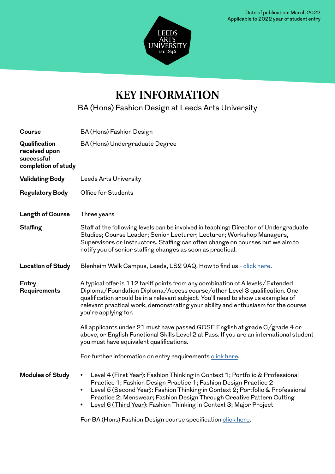

# **KEY INFORMATION**

BA (Hons) Fashion Design at Leeds Arts University

| Course                                                              | BA (Hons) Fashion Design                                                                                                                                                                                                                                                                                                                                                                                                  |
|---------------------------------------------------------------------|---------------------------------------------------------------------------------------------------------------------------------------------------------------------------------------------------------------------------------------------------------------------------------------------------------------------------------------------------------------------------------------------------------------------------|
| Qualification<br>received upon<br>successful<br>completion of study | BA (Hons) Undergraduate Degree                                                                                                                                                                                                                                                                                                                                                                                            |
| <b>Validating Body</b>                                              | Leeds Arts University                                                                                                                                                                                                                                                                                                                                                                                                     |
| <b>Regulatory Body</b>                                              | Office for Students                                                                                                                                                                                                                                                                                                                                                                                                       |
| Length of Course                                                    | Three years                                                                                                                                                                                                                                                                                                                                                                                                               |
| Staffing                                                            | Staff at the following levels can be involved in teaching: Director of Undergraduate<br>Studies; Course Leader; Senior Lecturer; Lecturer; Workshop Managers,<br>Supervisors or Instructors. Staffing can often change on courses but we aim to<br>notify you of senior staffing changes as soon as practical.                                                                                                            |
| <b>Location of Study</b>                                            | Blenheim Walk Campus, Leeds, LS2 9AQ. How to find us - click here.                                                                                                                                                                                                                                                                                                                                                        |
| Entry<br>Requirements                                               | A typical offer is 112 tariff points from any combination of A levels/Extended<br>Diploma/Foundation Diploma/Access course/other Level 3 qualification. One<br>qualification should be in a relevant subject. You'll need to show us examples of<br>relevant practical work, demonstrating your ability and enthusiasm for the course<br>you're applying for.                                                             |
|                                                                     | All applicants under 21 must have passed GCSE English at grade C/grade 4 or<br>above, or English Functional Skills Level 2 at Pass. If you are an international student<br>you must have equivalent qualifications.                                                                                                                                                                                                       |
|                                                                     | For further information on entry requirements click here.                                                                                                                                                                                                                                                                                                                                                                 |
| <b>Modules of Study</b>                                             | Level 4 (First Year): Fashion Thinking in Context 1; Portfolio & Professional<br>$\bullet$<br>Practice 1; Fashion Design Practice 1; Fashion Design Practice 2<br>Level 5 (Second Year): Fashion Thinking in Context 2; Portfolio & Professional<br>$\bullet$<br>Practice 2; Menswear; Fashion Design Through Creative Pattern Cutting<br>Level 6 (Third Year): Fashion Thinking in Context 3; Major Project<br>$\bullet$ |

For BA (Hons) Fashion Design course specification [click here](https://portal.leeds-art.ac.uk/sites/default/files/documents/CSPEC-FD-8-7-21.pdf).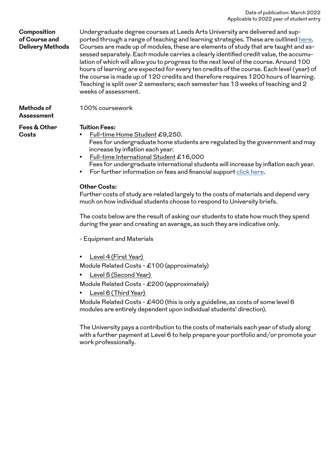#### Date of publication: March 2022 Applicable to 2022 year of student entry

| Composition<br>of Course and<br><b>Delivery Methods</b> | Undergraduate degree courses at Leeds Arts University are delivered and sup-<br>ported through a range of teaching and learning strategies. These are outlined here.<br>Courses are made up of modules, these are elements of study that are taught and as-<br>sessed separately. Each module carries a clearly identified credit value, the accumu-<br>lation of which will allow you to progress to the next level of the course. Around 100<br>hours of learning are expected for every ten credits of the course. Each level (year) of<br>the course is made up of 120 credits and therefore requires 1200 hours of learning.<br>Teaching is split over 2 semesters; each semester has 13 weeks of teaching and 2<br>weeks of assessment.                                                          |
|---------------------------------------------------------|--------------------------------------------------------------------------------------------------------------------------------------------------------------------------------------------------------------------------------------------------------------------------------------------------------------------------------------------------------------------------------------------------------------------------------------------------------------------------------------------------------------------------------------------------------------------------------------------------------------------------------------------------------------------------------------------------------------------------------------------------------------------------------------------------------|
| Methods of<br><b>Assessment</b>                         | 100% coursework                                                                                                                                                                                                                                                                                                                                                                                                                                                                                                                                                                                                                                                                                                                                                                                        |
| Fees & Other<br>Costs                                   | <b>Tuition Fees:</b><br>Full-time Home Student £9,250.<br>Fees for undergraduate home students are regulated by the government and may<br>increase by inflation each year.<br>Full-time International Student £16,000<br>$\bullet$<br>Fees for undergraduate international students will increase by inflation each year.<br>For further information on fees and financial support click here.<br>$\bullet$<br><b>Other Costs:</b><br>Further costs of study are related largely to the costs of materials and depend very<br>much on how individual students choose to respond to University briefs.<br>The costs below are the result of asking our students to state how much they spend<br>during the year and creating an average, as such they are indicative only.<br>- Equipment and Materials |

• Level 6 (Third Year) Module Related Costs - £400 (this is only a guideline, as costs of some level 6 modules are entirely dependent upon individual students' direction).

• Level 4 (First Year)

• Level 5 (Second Year)

Module Related Costs - £100 (approximately)

Module Related Costs - £200 (approximately)

The University pays a contribution to the costs of materials each year of study along with a further payment at Level 6 to help prepare your portfolio and/or promote your work professionally.